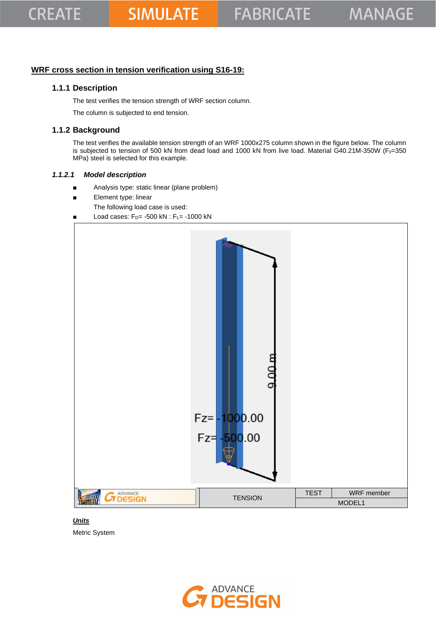## **WRF cross section in tension verification using S16-19:**

## **1.1.1 Description**

The test verifies the tension strength of WRF section column.

The column is subjected to end tension.

## **1.1.2 Background**

The test verifies the available tension strength of an WRF 1000x275 column shown in the figure below. The column is subjected to tension of 500 kN from dead load and 1000 kN from live load. Material G40.21M-350W (Fy=350 MPa) steel is selected for this example.

#### *1.1.2.1 Model description*

- Analysis type: static linear (plane problem)
- Element type: linear
	- The following load case is used:
- Load cases:  $F_{D}$  = -500 kN :  $F_{L}$  = -1000 kN



#### *Units*

Metric System

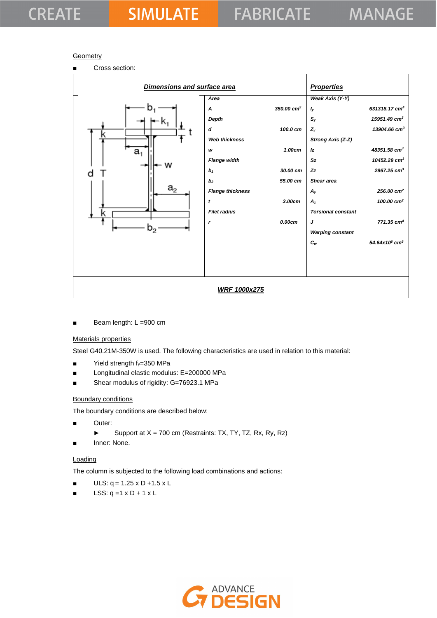#### **Geometry**



Beam length: L =900 cm

#### Materials properties

Steel G40.21M-350W is used. The following characteristics are used in relation to this material:

- Yield strength fy=350 MPa
- Longitudinal elastic modulus: E=200000 MPa
- Shear modulus of rigidity: G=76923.1 MPa

#### Boundary conditions

The boundary conditions are described below:

- Outer:
	- ► Support at X = 700 cm (Restraints: TX, TY, TZ, Rx, Ry, Rz)
- Inner: None.

#### **Loading**

The column is subjected to the following load combinations and actions:

- $ULS: q = 1.25 \times D + 1.5 \times L$
- LSS:  $q = 1 \times D + 1 \times L$

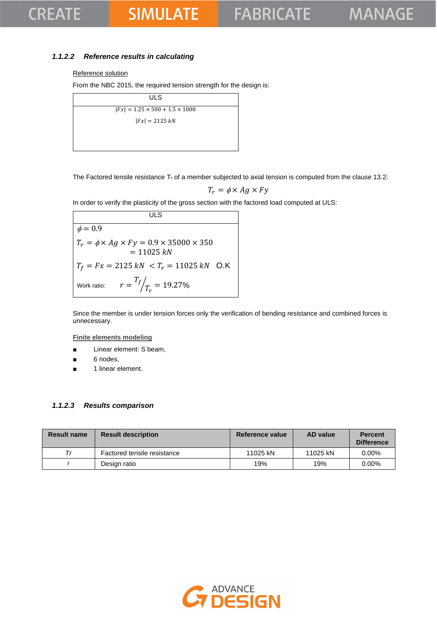## **SIMULATE**

### *1.1.2.2 Reference results in calculating*

#### Reference solution

From the NBC 2015, the required tension strength for the design is:

| ULS                                        |  |
|--------------------------------------------|--|
| $ Fx  = 1.25 \times 500 + 1.5 \times 1000$ |  |
| $ Fx  = 2125 kN$                           |  |
|                                            |  |
|                                            |  |

The Factored tensile resistance  $T_r$  of a member subjected to axial tension is computed from the clause 13.2:

$$
T_r = \phi \times Ag \times Fy
$$

In order to verify the plasticity of the gross section with the factored load computed at ULS:

**ULS**  $\phi = 0.9$  $T_r = \phi \times Ag \times Fy = 0.9 \times 35000 \times 350$  $= 11025 kN$  $T_f = Fx = 2125 kN < T_r = 11025 kN$  O.K Work ratio:  $T_f$  $\sqrt{T_r} = 19.27\%$ 

Since the member is under tension forces only the verification of bending resistance and combined forces is unnecessary.

**Finite elements modeling**

- Linear element: S beam,
- 6 nodes,
- 1 linear element.

#### *1.1.2.3 Results comparison*

| <b>Result name</b> | <b>Result description</b>   | Reference value | AD value | <b>Percent</b><br><b>Difference</b> |
|--------------------|-----------------------------|-----------------|----------|-------------------------------------|
| Тr                 | Factored tensile resistance | 11025 kN        | 11025 kN | $0.00\%$                            |
|                    | Design ratio                | 19%             | 19%      | $0.00\%$                            |